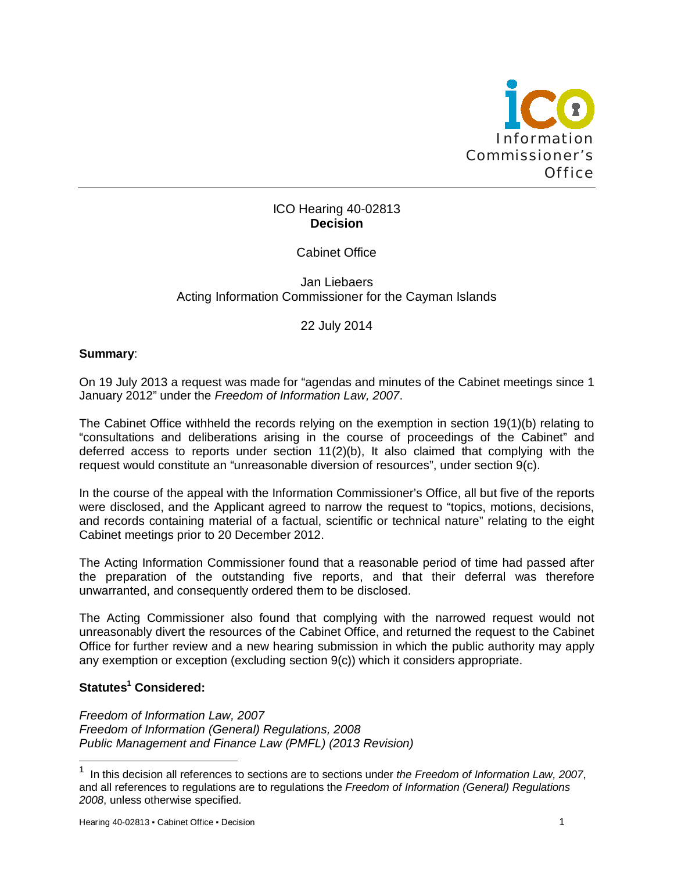

## ICO Hearing 40-02813 **Decision**

Cabinet Office

Jan Liebaers Acting Information Commissioner for the Cayman Islands

22 July 2014

## **Summary**:

On 19 July 2013 a request was made for "agendas and minutes of the Cabinet meetings since 1 January 2012" under the *Freedom of Information Law, 2007*.

The Cabinet Office withheld the records relying on the exemption in section 19(1)(b) relating to "consultations and deliberations arising in the course of proceedings of the Cabinet" and deferred access to reports under section 11(2)(b), It also claimed that complying with the request would constitute an "unreasonable diversion of resources", under section 9(c).

In the course of the appeal with the Information Commissioner's Office, all but five of the reports were disclosed, and the Applicant agreed to narrow the request to "topics, motions, decisions, and records containing material of a factual, scientific or technical nature" relating to the eight Cabinet meetings prior to 20 December 2012.

The Acting Information Commissioner found that a reasonable period of time had passed after the preparation of the outstanding five reports, and that their deferral was therefore unwarranted, and consequently ordered them to be disclosed.

The Acting Commissioner also found that complying with the narrowed request would not unreasonably divert the resources of the Cabinet Office, and returned the request to the Cabinet Office for further review and a new hearing submission in which the public authority may apply any exemption or exception (excluding section 9(c)) which it considers appropriate.

# **Statutes<sup>1</sup> Considered:**

-

*Freedom of Information Law, 2007 Freedom of Information (General) Regulations, 2008 Public Management and Finance Law (PMFL) (2013 Revision)*

<sup>1</sup> In this decision all references to sections are to sections under *the Freedom of Information Law, 2007*, and all references to regulations are to regulations the *Freedom of Information (General) Regulations 2008*, unless otherwise specified.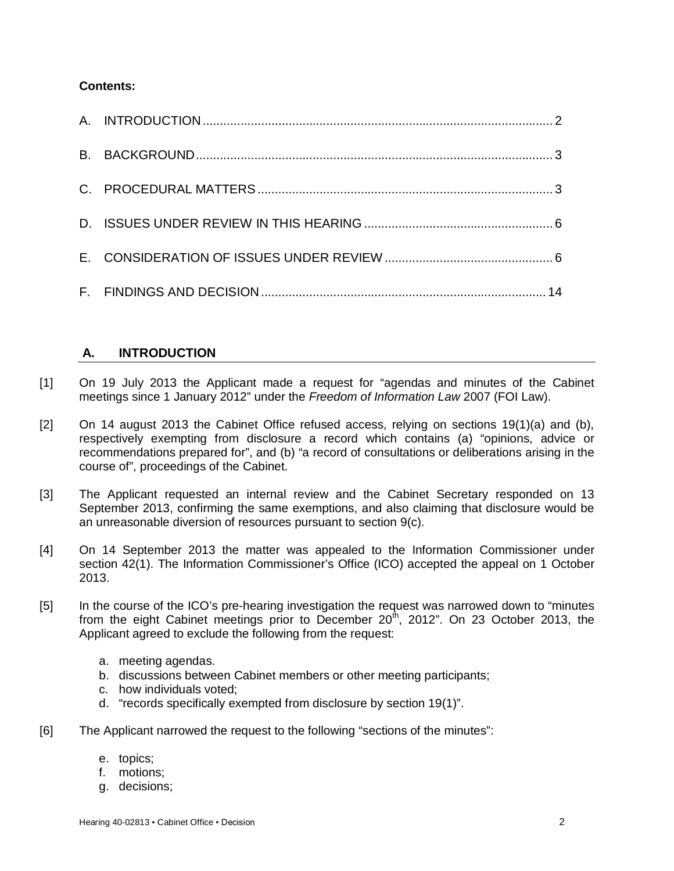## **Contents:**

# **A. INTRODUCTION**

- [1] On 19 July 2013 the Applicant made a request for "agendas and minutes of the Cabinet meetings since 1 January 2012" under the *Freedom of Information Law* 2007 (FOI Law).
- [2] On 14 august 2013 the Cabinet Office refused access, relying on sections  $19(1)(a)$  and (b), respectively exempting from disclosure a record which contains (a) "opinions, advice or recommendations prepared for", and (b) "a record of consultations or deliberations arising in the course of", proceedings of the Cabinet.
- [3] The Applicant requested an internal review and the Cabinet Secretary responded on 13 September 2013, confirming the same exemptions, and also claiming that disclosure would be an unreasonable diversion of resources pursuant to section 9(c).
- [4] On 14 September 2013 the matter was appealed to the Information Commissioner under section 42(1). The Information Commissioner's Office (ICO) accepted the appeal on 1 October 2013.
- [5] In the course of the ICO's pre-hearing investigation the request was narrowed down to "minutes from the eight Cabinet meetings prior to December  $20<sup>th</sup>$ , 2012". On 23 October 2013, the Applicant agreed to exclude the following from the request:
	- a. meeting agendas.
	- b. discussions between Cabinet members or other meeting participants;
	- c. how individuals voted;
	- d. "records specifically exempted from disclosure by section 19(1)".
- [6] The Applicant narrowed the request to the following "sections of the minutes":
	- e. topics;
	- f. motions;
	- g. decisions;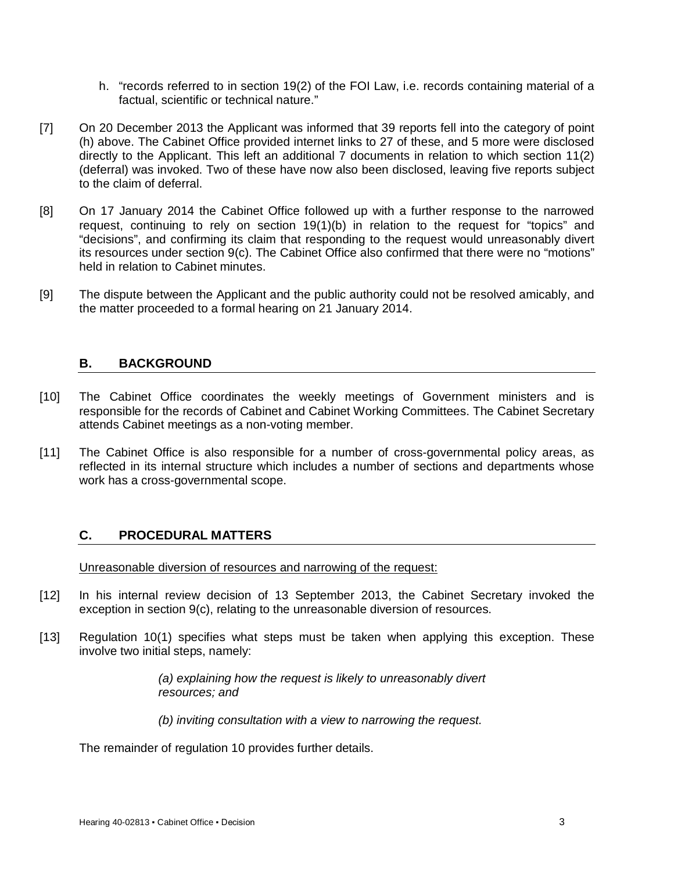- h. "records referred to in section 19(2) of the FOI Law, i.e. records containing material of a factual, scientific or technical nature."
- [7] On 20 December 2013 the Applicant was informed that 39 reports fell into the category of point (h) above. The Cabinet Office provided internet links to 27 of these, and 5 more were disclosed directly to the Applicant. This left an additional 7 documents in relation to which section 11(2) (deferral) was invoked. Two of these have now also been disclosed, leaving five reports subject to the claim of deferral.
- [8] On 17 January 2014 the Cabinet Office followed up with a further response to the narrowed request, continuing to rely on section 19(1)(b) in relation to the request for "topics" and "decisions", and confirming its claim that responding to the request would unreasonably divert its resources under section 9(c). The Cabinet Office also confirmed that there were no "motions" held in relation to Cabinet minutes.
- [9] The dispute between the Applicant and the public authority could not be resolved amicably, and the matter proceeded to a formal hearing on 21 January 2014.

## **B. BACKGROUND**

- [10] The Cabinet Office coordinates the weekly meetings of Government ministers and is responsible for the records of Cabinet and Cabinet Working Committees. The Cabinet Secretary attends Cabinet meetings as a non-voting member.
- [11] The Cabinet Office is also responsible for a number of cross-governmental policy areas, as reflected in its internal structure which includes a number of sections and departments whose work has a cross-governmental scope.

# **C. PROCEDURAL MATTERS**

Unreasonable diversion of resources and narrowing of the request:

- [12] In his internal review decision of 13 September 2013, the Cabinet Secretary invoked the exception in section 9(c), relating to the unreasonable diversion of resources.
- [13] Regulation 10(1) specifies what steps must be taken when applying this exception. These involve two initial steps, namely:

*(a) explaining how the request is likely to unreasonably divert resources; and*

*(b) inviting consultation with a view to narrowing the request.*

The remainder of regulation 10 provides further details.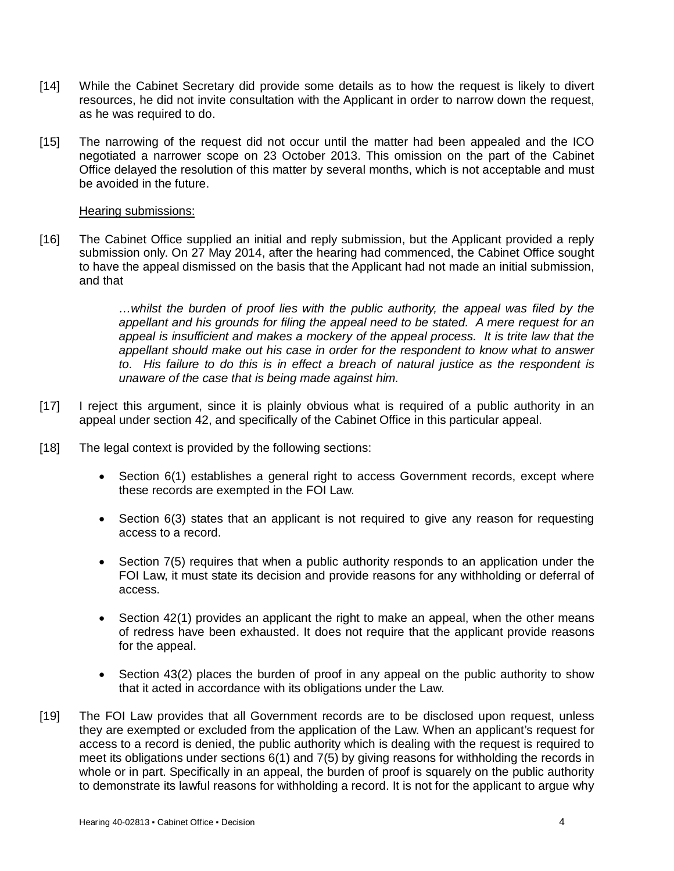- [14] While the Cabinet Secretary did provide some details as to how the request is likely to divert resources, he did not invite consultation with the Applicant in order to narrow down the request, as he was required to do.
- [15] The narrowing of the request did not occur until the matter had been appealed and the ICO negotiated a narrower scope on 23 October 2013. This omission on the part of the Cabinet Office delayed the resolution of this matter by several months, which is not acceptable and must be avoided in the future.

Hearing submissions:

[16] The Cabinet Office supplied an initial and reply submission, but the Applicant provided a reply submission only. On 27 May 2014, after the hearing had commenced, the Cabinet Office sought to have the appeal dismissed on the basis that the Applicant had not made an initial submission, and that

> *…whilst the burden of proof lies with the public authority, the appeal was filed by the appellant and his grounds for filing the appeal need to be stated. A mere request for an appeal is insufficient and makes a mockery of the appeal process. It is trite law that the appellant should make out his case in order for the respondent to know what to answer to. His failure to do this is in effect a breach of natural justice as the respondent is unaware of the case that is being made against him.*

- [17] I reject this argument, since it is plainly obvious what is required of a public authority in an appeal under section 42, and specifically of the Cabinet Office in this particular appeal.
- [18] The legal context is provided by the following sections:
	- Section 6(1) establishes a general right to access Government records, except where these records are exempted in the FOI Law.
	- Section 6(3) states that an applicant is not required to give any reason for requesting access to a record.
	- Section 7(5) requires that when a public authority responds to an application under the FOI Law, it must state its decision and provide reasons for any withholding or deferral of access.
	- Section 42(1) provides an applicant the right to make an appeal, when the other means of redress have been exhausted. It does not require that the applicant provide reasons for the appeal.
	- Section 43(2) places the burden of proof in any appeal on the public authority to show that it acted in accordance with its obligations under the Law.
- [19] The FOI Law provides that all Government records are to be disclosed upon request, unless they are exempted or excluded from the application of the Law. When an applicant's request for access to a record is denied, the public authority which is dealing with the request is required to meet its obligations under sections 6(1) and 7(5) by giving reasons for withholding the records in whole or in part. Specifically in an appeal, the burden of proof is squarely on the public authority to demonstrate its lawful reasons for withholding a record. It is not for the applicant to argue why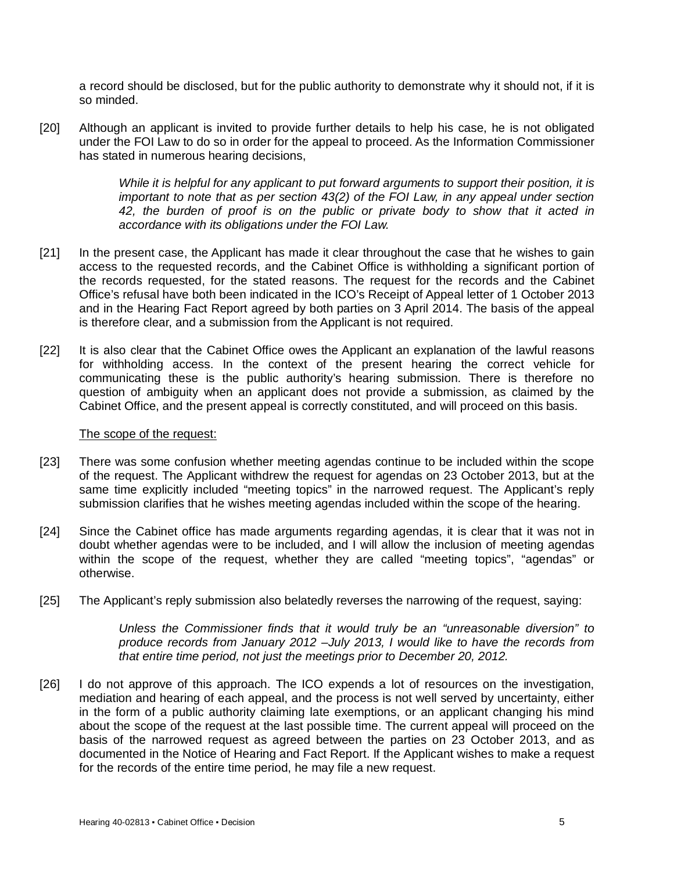a record should be disclosed, but for the public authority to demonstrate why it should not, if it is so minded.

[20] Although an applicant is invited to provide further details to help his case, he is not obligated under the FOI Law to do so in order for the appeal to proceed. As the Information Commissioner has stated in numerous hearing decisions,

> *While it is helpful for any applicant to put forward arguments to support their position, it is important to note that as per section 43(2) of the FOI Law, in any appeal under section 42, the burden of proof is on the public or private body to show that it acted in accordance with its obligations under the FOI Law.*

- [21] In the present case, the Applicant has made it clear throughout the case that he wishes to gain access to the requested records, and the Cabinet Office is withholding a significant portion of the records requested, for the stated reasons. The request for the records and the Cabinet Office's refusal have both been indicated in the ICO's Receipt of Appeal letter of 1 October 2013 and in the Hearing Fact Report agreed by both parties on 3 April 2014. The basis of the appeal is therefore clear, and a submission from the Applicant is not required.
- [22] It is also clear that the Cabinet Office owes the Applicant an explanation of the lawful reasons for withholding access. In the context of the present hearing the correct vehicle for communicating these is the public authority's hearing submission. There is therefore no question of ambiguity when an applicant does not provide a submission, as claimed by the Cabinet Office, and the present appeal is correctly constituted, and will proceed on this basis.

#### The scope of the request:

- [23] There was some confusion whether meeting agendas continue to be included within the scope of the request. The Applicant withdrew the request for agendas on 23 October 2013, but at the same time explicitly included "meeting topics" in the narrowed request. The Applicant's reply submission clarifies that he wishes meeting agendas included within the scope of the hearing.
- [24] Since the Cabinet office has made arguments regarding agendas, it is clear that it was not in doubt whether agendas were to be included, and I will allow the inclusion of meeting agendas within the scope of the request, whether they are called "meeting topics", "agendas" or otherwise.
- [25] The Applicant's reply submission also belatedly reverses the narrowing of the request, saying:

*Unless the Commissioner finds that it would truly be an "unreasonable diversion" to produce records from January 2012 –July 2013, I would like to have the records from that entire time period, not just the meetings prior to December 20, 2012.* 

[26] I do not approve of this approach. The ICO expends a lot of resources on the investigation, mediation and hearing of each appeal, and the process is not well served by uncertainty, either in the form of a public authority claiming late exemptions, or an applicant changing his mind about the scope of the request at the last possible time. The current appeal will proceed on the basis of the narrowed request as agreed between the parties on 23 October 2013, and as documented in the Notice of Hearing and Fact Report. If the Applicant wishes to make a request for the records of the entire time period, he may file a new request.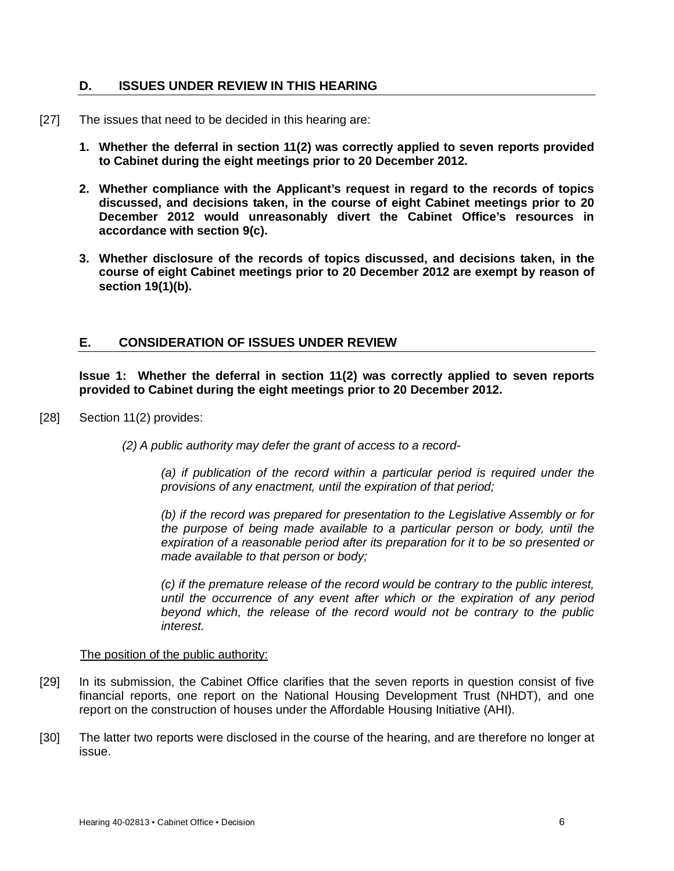### **D. ISSUES UNDER REVIEW IN THIS HEARING**

- [27] The issues that need to be decided in this hearing are:
	- **1. Whether the deferral in section 11(2) was correctly applied to seven reports provided to Cabinet during the eight meetings prior to 20 December 2012.**
	- **2. Whether compliance with the Applicant's request in regard to the records of topics discussed, and decisions taken, in the course of eight Cabinet meetings prior to 20 December 2012 would unreasonably divert the Cabinet Office's resources in accordance with section 9(c).**
	- **3. Whether disclosure of the records of topics discussed, and decisions taken, in the course of eight Cabinet meetings prior to 20 December 2012 are exempt by reason of section 19(1)(b).**

### **E. CONSIDERATION OF ISSUES UNDER REVIEW**

**Issue 1: Whether the deferral in section 11(2) was correctly applied to seven reports provided to Cabinet during the eight meetings prior to 20 December 2012.** 

- [28] Section 11(2) provides:
	- *(2) A public authority may defer the grant of access to a record-*

*(a) if publication of the record within a particular period is required under the provisions of any enactment, until the expiration of that period;*

*(b) if the record was prepared for presentation to the Legislative Assembly or for the purpose of being made available to a particular person or body, until the expiration of a reasonable period after its preparation for it to be so presented or made available to that person or body;* 

*(c) if the premature release of the record would be contrary to the public interest, until the occurrence of any event after which or the expiration of any period beyond which, the release of the record would not be contrary to the public interest.*

#### The position of the public authority:

- [29] In its submission, the Cabinet Office clarifies that the seven reports in question consist of five financial reports, one report on the National Housing Development Trust (NHDT), and one report on the construction of houses under the Affordable Housing Initiative (AHI).
- [30] The latter two reports were disclosed in the course of the hearing, and are therefore no longer at issue.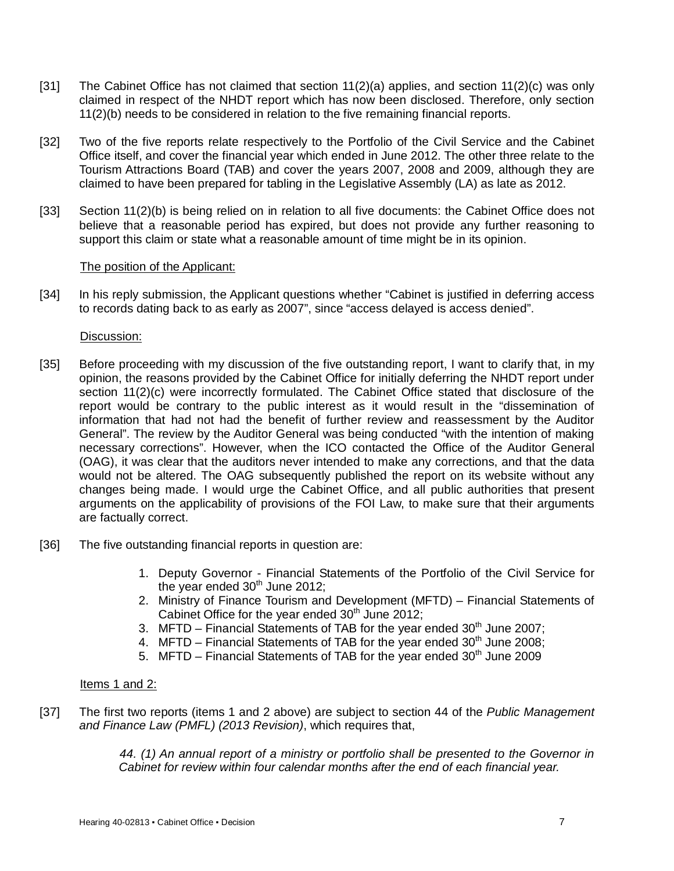- [31] The Cabinet Office has not claimed that section 11(2)(a) applies, and section 11(2)(c) was only claimed in respect of the NHDT report which has now been disclosed. Therefore, only section 11(2)(b) needs to be considered in relation to the five remaining financial reports.
- [32] Two of the five reports relate respectively to the Portfolio of the Civil Service and the Cabinet Office itself, and cover the financial year which ended in June 2012. The other three relate to the Tourism Attractions Board (TAB) and cover the years 2007, 2008 and 2009, although they are claimed to have been prepared for tabling in the Legislative Assembly (LA) as late as 2012.
- [33] Section 11(2)(b) is being relied on in relation to all five documents: the Cabinet Office does not believe that a reasonable period has expired, but does not provide any further reasoning to support this claim or state what a reasonable amount of time might be in its opinion.

### The position of the Applicant:

[34] In his reply submission, the Applicant questions whether "Cabinet is justified in deferring access to records dating back to as early as 2007", since "access delayed is access denied".

### Discussion:

- [35] Before proceeding with my discussion of the five outstanding report, I want to clarify that, in my opinion, the reasons provided by the Cabinet Office for initially deferring the NHDT report under section 11(2)(c) were incorrectly formulated. The Cabinet Office stated that disclosure of the report would be contrary to the public interest as it would result in the "dissemination of information that had not had the benefit of further review and reassessment by the Auditor General". The review by the Auditor General was being conducted "with the intention of making necessary corrections". However, when the ICO contacted the Office of the Auditor General (OAG), it was clear that the auditors never intended to make any corrections, and that the data would not be altered. The OAG subsequently published the report on its website without any changes being made. I would urge the Cabinet Office, and all public authorities that present arguments on the applicability of provisions of the FOI Law, to make sure that their arguments are factually correct.
- [36] The five outstanding financial reports in question are:
	- 1. Deputy Governor Financial Statements of the Portfolio of the Civil Service for the year ended  $30<sup>th</sup>$  June 2012;
	- 2. Ministry of Finance Tourism and Development (MFTD) Financial Statements of Cabinet Office for the year ended  $30<sup>th</sup>$  June 2012;
	- 3. MFTD Financial Statements of TAB for the year ended  $30<sup>th</sup>$  June 2007;
	- 4. MFTD Financial Statements of TAB for the year ended  $30<sup>th</sup>$  June 2008;
	- 5. MFTD Financial Statements of TAB for the year ended  $30<sup>th</sup>$  June 2009

#### Items 1 and 2:

[37] The first two reports (items 1 and 2 above) are subject to section 44 of the *Public Management and Finance Law (PMFL) (2013 Revision)*, which requires that,

> *44. (1) An annual report of a ministry or portfolio shall be presented to the Governor in Cabinet for review within four calendar months after the end of each financial year.*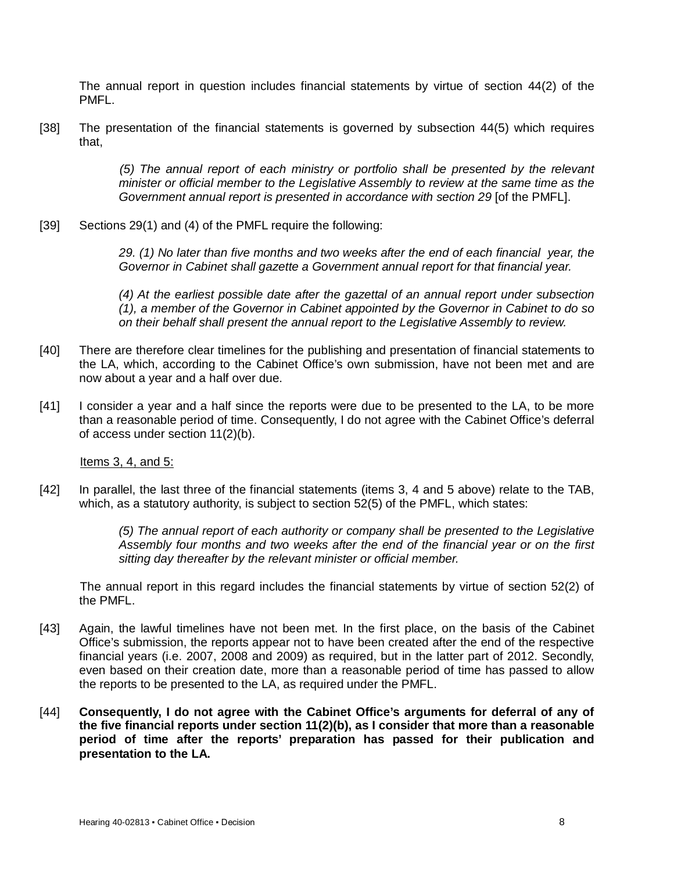The annual report in question includes financial statements by virtue of section 44(2) of the PMFL.

[38] The presentation of the financial statements is governed by subsection 44(5) which requires that,

> *(5) The annual report of each ministry or portfolio shall be presented by the relevant minister or official member to the Legislative Assembly to review at the same time as the Government annual report is presented in accordance with section 29 [of the PMFL].*

[39] Sections 29(1) and (4) of the PMFL require the following:

*29. (1) No later than five months and two weeks after the end of each financial year, the Governor in Cabinet shall gazette a Government annual report for that financial year.*

*(4) At the earliest possible date after the gazettal of an annual report under subsection (1), a member of the Governor in Cabinet appointed by the Governor in Cabinet to do so on their behalf shall present the annual report to the Legislative Assembly to review.*

- [40] There are therefore clear timelines for the publishing and presentation of financial statements to the LA, which, according to the Cabinet Office's own submission, have not been met and are now about a year and a half over due.
- [41] I consider a year and a half since the reports were due to be presented to the LA, to be more than a reasonable period of time. Consequently, I do not agree with the Cabinet Office's deferral of access under section 11(2)(b).

Items 3, 4, and 5:

[42] In parallel, the last three of the financial statements (items 3, 4 and 5 above) relate to the TAB, which, as a statutory authority, is subject to section 52(5) of the PMFL, which states:

> *(5) The annual report of each authority or company shall be presented to the Legislative Assembly four months and two weeks after the end of the financial year or on the first sitting day thereafter by the relevant minister or official member.*

The annual report in this regard includes the financial statements by virtue of section 52(2) of the PMFL.

- [43] Again, the lawful timelines have not been met. In the first place, on the basis of the Cabinet Office's submission, the reports appear not to have been created after the end of the respective financial years (i.e. 2007, 2008 and 2009) as required, but in the latter part of 2012. Secondly, even based on their creation date, more than a reasonable period of time has passed to allow the reports to be presented to the LA, as required under the PMFL.
- [44] **Consequently, I do not agree with the Cabinet Office's arguments for deferral of any of the five financial reports under section 11(2)(b), as I consider that more than a reasonable period of time after the reports' preparation has passed for their publication and presentation to the LA.**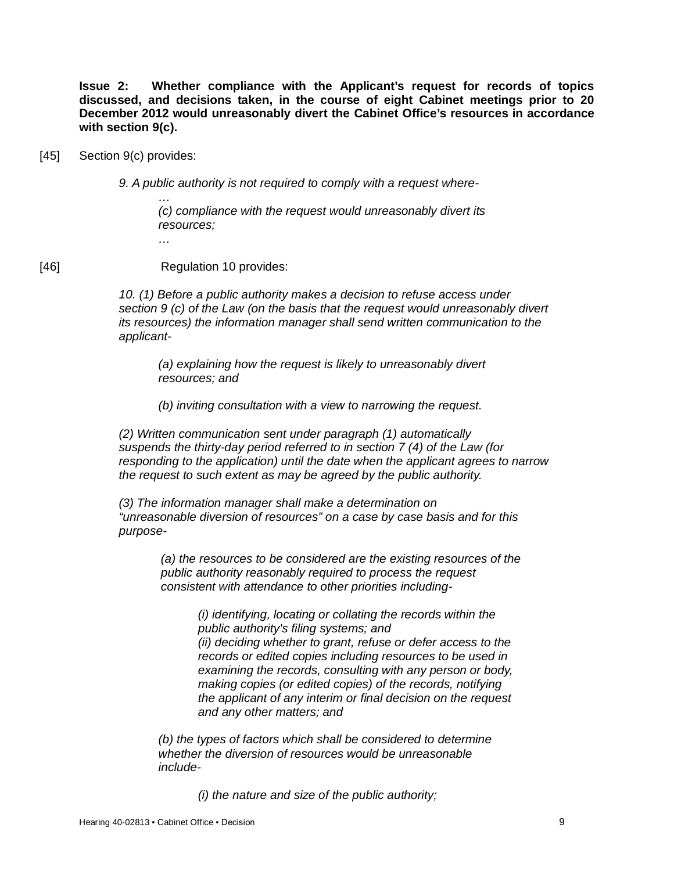**Issue 2: Whether compliance with the Applicant's request for records of topics discussed, and decisions taken, in the course of eight Cabinet meetings prior to 20 December 2012 would unreasonably divert the Cabinet Office's resources in accordance with section 9(c).**

[45] Section 9(c) provides:

*9. A public authority is not required to comply with a request where-*

*… (c) compliance with the request would unreasonably divert its resources;*

[46] **Regulation 10 provides:** 

*…*

*10. (1) Before a public authority makes a decision to refuse access under section 9 (c) of the Law (on the basis that the request would unreasonably divert its resources) the information manager shall send written communication to the applicant-*

*(a) explaining how the request is likely to unreasonably divert resources; and*

*(b) inviting consultation with a view to narrowing the request.*

*(2) Written communication sent under paragraph (1) automatically suspends the thirty-day period referred to in section 7 (4) of the Law (for responding to the application) until the date when the applicant agrees to narrow the request to such extent as may be agreed by the public authority.*

*(3) The information manager shall make a determination on "unreasonable diversion of resources" on a case by case basis and for this purpose-*

*(a) the resources to be considered are the existing resources of the public authority reasonably required to process the request consistent with attendance to other priorities including-*

> *(i) identifying, locating or collating the records within the public authority's filing systems; and (ii) deciding whether to grant, refuse or defer access to the records or edited copies including resources to be used in examining the records, consulting with any person or body, making copies (or edited copies) of the records, notifying the applicant of any interim or final decision on the request and any other matters; and*

*(b) the types of factors which shall be considered to determine whether the diversion of resources would be unreasonable include-*

*(i) the nature and size of the public authority;*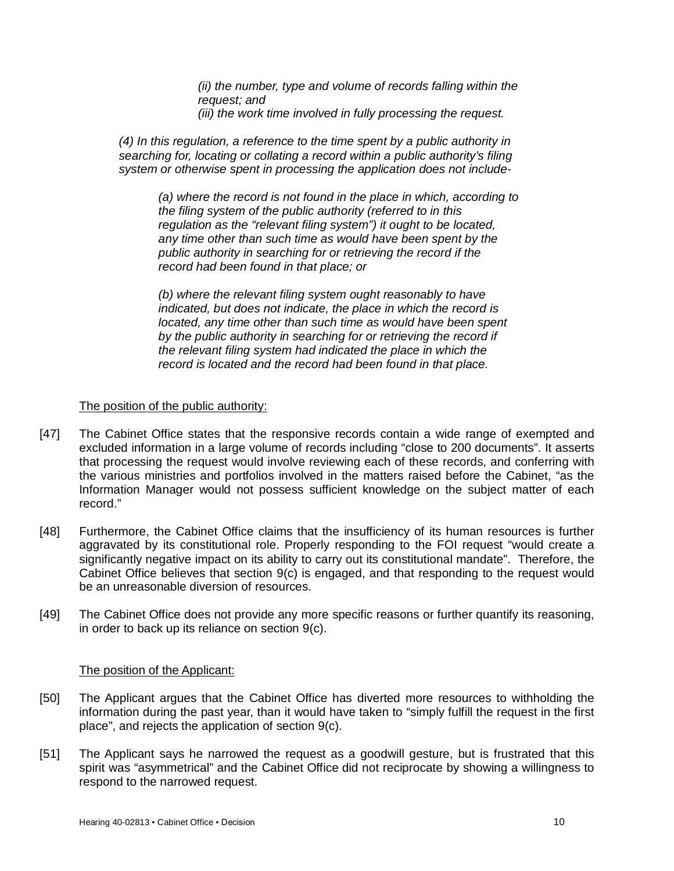*(ii) the number, type and volume of records falling within the request; and*

*(iii) the work time involved in fully processing the request.*

*(4) In this regulation, a reference to the time spent by a public authority in searching for, locating or collating a record within a public authority's filing system or otherwise spent in processing the application does not include-*

*(a) where the record is not found in the place in which, according to the filing system of the public authority (referred to in this regulation as the "relevant filing system") it ought to be located, any time other than such time as would have been spent by the public authority in searching for or retrieving the record if the record had been found in that place; or*

*(b) where the relevant filing system ought reasonably to have indicated, but does not indicate, the place in which the record is located, any time other than such time as would have been spent by the public authority in searching for or retrieving the record if the relevant filing system had indicated the place in which the record is located and the record had been found in that place.*

### The position of the public authority:

- [47] The Cabinet Office states that the responsive records contain a wide range of exempted and excluded information in a large volume of records including "close to 200 documents". It asserts that processing the request would involve reviewing each of these records, and conferring with the various ministries and portfolios involved in the matters raised before the Cabinet, "as the Information Manager would not possess sufficient knowledge on the subject matter of each record."
- [48] Furthermore, the Cabinet Office claims that the insufficiency of its human resources is further aggravated by its constitutional role. Properly responding to the FOI request "would create a significantly negative impact on its ability to carry out its constitutional mandate". Therefore, the Cabinet Office believes that section 9(c) is engaged, and that responding to the request would be an unreasonable diversion of resources.
- [49] The Cabinet Office does not provide any more specific reasons or further quantify its reasoning, in order to back up its reliance on section 9(c).

#### The position of the Applicant:

- [50] The Applicant argues that the Cabinet Office has diverted more resources to withholding the information during the past year, than it would have taken to "simply fulfill the request in the first place", and rejects the application of section 9(c).
- [51] The Applicant says he narrowed the request as a goodwill gesture, but is frustrated that this spirit was "asymmetrical" and the Cabinet Office did not reciprocate by showing a willingness to respond to the narrowed request.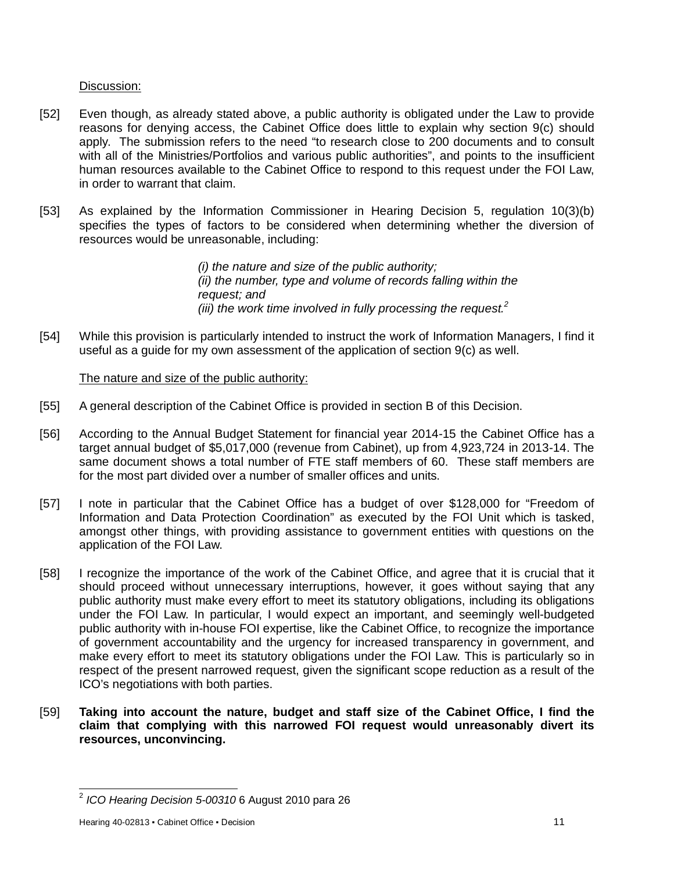### Discussion:

- [52] Even though, as already stated above, a public authority is obligated under the Law to provide reasons for denying access, the Cabinet Office does little to explain why section 9(c) should apply. The submission refers to the need "to research close to 200 documents and to consult with all of the Ministries/Portfolios and various public authorities", and points to the insufficient human resources available to the Cabinet Office to respond to this request under the FOI Law, in order to warrant that claim.
- [53] As explained by the Information Commissioner in Hearing Decision 5, regulation 10(3)(b) specifies the types of factors to be considered when determining whether the diversion of resources would be unreasonable, including:

*(i) the nature and size of the public authority; (ii) the number, type and volume of records falling within the request; and (iii) the work time involved in fully processing the request.<sup>2</sup>*

[54] While this provision is particularly intended to instruct the work of Information Managers, I find it useful as a guide for my own assessment of the application of section 9(c) as well.

## The nature and size of the public authority:

- [55] A general description of the Cabinet Office is provided in section B of this Decision.
- [56] According to the Annual Budget Statement for financial year 2014-15 the Cabinet Office has a target annual budget of \$5,017,000 (revenue from Cabinet), up from 4,923,724 in 2013-14. The same document shows a total number of FTE staff members of 60. These staff members are for the most part divided over a number of smaller offices and units.
- [57] I note in particular that the Cabinet Office has a budget of over \$128,000 for "Freedom of Information and Data Protection Coordination" as executed by the FOI Unit which is tasked, amongst other things, with providing assistance to government entities with questions on the application of the FOI Law.
- [58] I recognize the importance of the work of the Cabinet Office, and agree that it is crucial that it should proceed without unnecessary interruptions, however, it goes without saying that any public authority must make every effort to meet its statutory obligations, including its obligations under the FOI Law. In particular, I would expect an important, and seemingly well-budgeted public authority with in-house FOI expertise, like the Cabinet Office, to recognize the importance of government accountability and the urgency for increased transparency in government, and make every effort to meet its statutory obligations under the FOI Law. This is particularly so in respect of the present narrowed request, given the significant scope reduction as a result of the ICO's negotiations with both parties.
- [59] **Taking into account the nature, budget and staff size of the Cabinet Office, I find the claim that complying with this narrowed FOI request would unreasonably divert its resources, unconvincing.**

 2 *ICO Hearing Decision 5-00310* 6 August 2010 para 26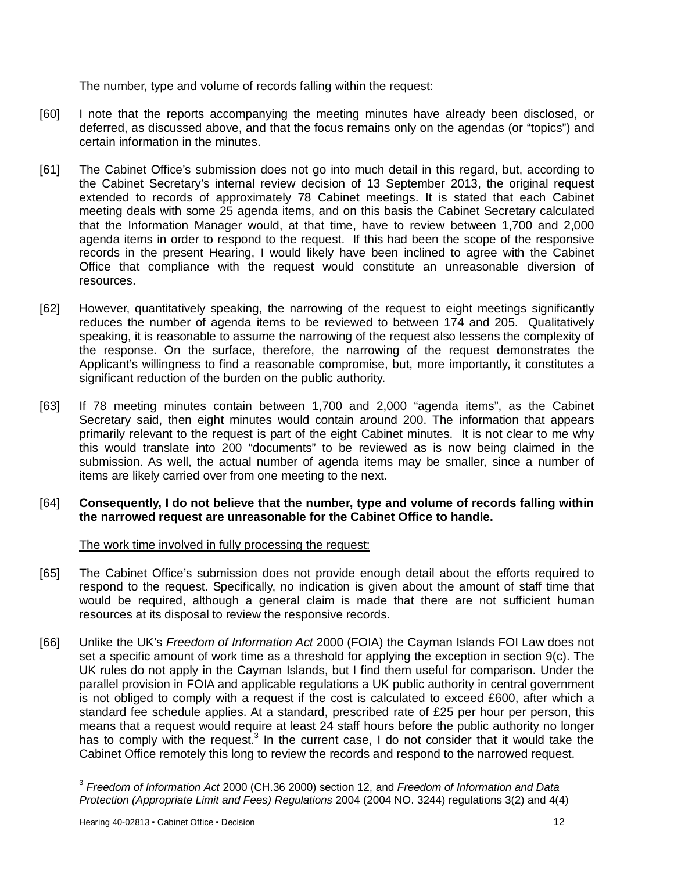## The number, type and volume of records falling within the request:

- [60] I note that the reports accompanying the meeting minutes have already been disclosed, or deferred, as discussed above, and that the focus remains only on the agendas (or "topics") and certain information in the minutes.
- [61] The Cabinet Office's submission does not go into much detail in this regard, but, according to the Cabinet Secretary's internal review decision of 13 September 2013, the original request extended to records of approximately 78 Cabinet meetings. It is stated that each Cabinet meeting deals with some 25 agenda items, and on this basis the Cabinet Secretary calculated that the Information Manager would, at that time, have to review between 1,700 and 2,000 agenda items in order to respond to the request. If this had been the scope of the responsive records in the present Hearing, I would likely have been inclined to agree with the Cabinet Office that compliance with the request would constitute an unreasonable diversion of resources.
- [62] However, quantitatively speaking, the narrowing of the request to eight meetings significantly reduces the number of agenda items to be reviewed to between 174 and 205. Qualitatively speaking, it is reasonable to assume the narrowing of the request also lessens the complexity of the response. On the surface, therefore, the narrowing of the request demonstrates the Applicant's willingness to find a reasonable compromise, but, more importantly, it constitutes a significant reduction of the burden on the public authority.
- [63] If 78 meeting minutes contain between 1,700 and 2,000 "agenda items", as the Cabinet Secretary said, then eight minutes would contain around 200. The information that appears primarily relevant to the request is part of the eight Cabinet minutes. It is not clear to me why this would translate into 200 "documents" to be reviewed as is now being claimed in the submission. As well, the actual number of agenda items may be smaller, since a number of items are likely carried over from one meeting to the next.
- [64] **Consequently, I do not believe that the number, type and volume of records falling within the narrowed request are unreasonable for the Cabinet Office to handle.**

## The work time involved in fully processing the request:

- [65] The Cabinet Office's submission does not provide enough detail about the efforts required to respond to the request. Specifically, no indication is given about the amount of staff time that would be required, although a general claim is made that there are not sufficient human resources at its disposal to review the responsive records.
- [66] Unlike the UK's *Freedom of Information Act* 2000 (FOIA) the Cayman Islands FOI Law does not set a specific amount of work time as a threshold for applying the exception in section 9(c). The UK rules do not apply in the Cayman Islands, but I find them useful for comparison. Under the parallel provision in FOIA and applicable regulations a UK public authority in central government is not obliged to comply with a request if the cost is calculated to exceed £600, after which a standard fee schedule applies. At a standard, prescribed rate of £25 per hour per person, this means that a request would require at least 24 staff hours before the public authority no longer has to comply with the request.<sup>3</sup> In the current case, I do not consider that it would take the Cabinet Office remotely this long to review the records and respond to the narrowed request.

 3 *Freedom of Information Act* 2000 (CH.36 2000) section 12, and *Freedom of Information and Data Protection (Appropriate Limit and Fees) Regulations* 2004 (2004 NO. 3244) regulations 3(2) and 4(4)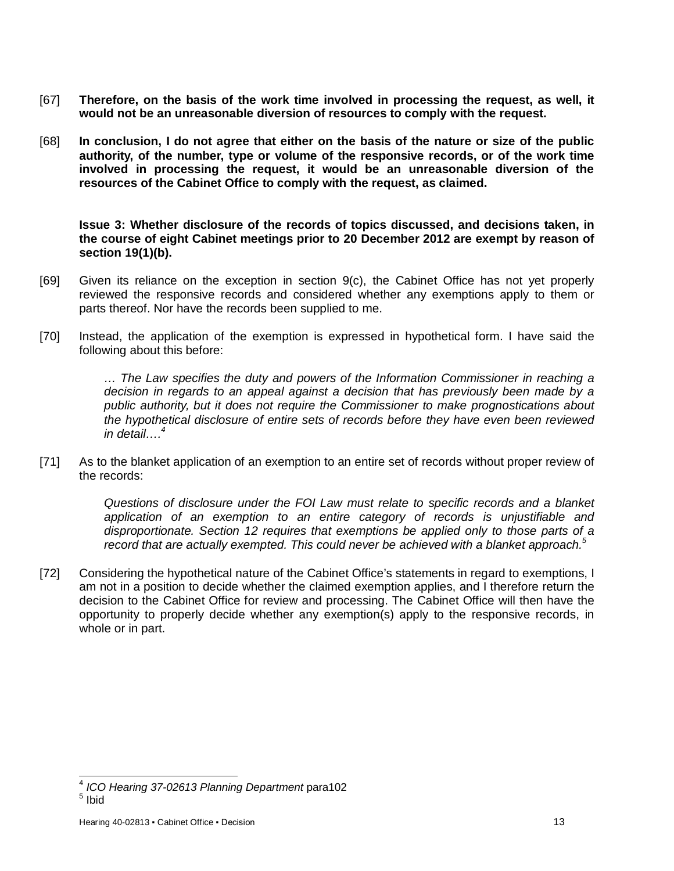- [67] **Therefore, on the basis of the work time involved in processing the request, as well, it would not be an unreasonable diversion of resources to comply with the request.**
- [68] **In conclusion, I do not agree that either on the basis of the nature or size of the public authority, of the number, type or volume of the responsive records, or of the work time involved in processing the request, it would be an unreasonable diversion of the resources of the Cabinet Office to comply with the request, as claimed.**

**Issue 3: Whether disclosure of the records of topics discussed, and decisions taken, in the course of eight Cabinet meetings prior to 20 December 2012 are exempt by reason of section 19(1)(b).**

- [69] Given its reliance on the exception in section 9(c), the Cabinet Office has not yet properly reviewed the responsive records and considered whether any exemptions apply to them or parts thereof. Nor have the records been supplied to me.
- [70] Instead, the application of the exemption is expressed in hypothetical form. I have said the following about this before:

*… The Law specifies the duty and powers of the Information Commissioner in reaching a decision in regards to an appeal against a decision that has previously been made by a public authority, but it does not require the Commissioner to make prognostications about the hypothetical disclosure of entire sets of records before they have even been reviewed in detail…. 4*

[71] As to the blanket application of an exemption to an entire set of records without proper review of the records:

> *Questions of disclosure under the FOI Law must relate to specific records and a blanket application of an exemption to an entire category of records is unjustifiable and disproportionate. Section 12 requires that exemptions be applied only to those parts of a record that are actually exempted. This could never be achieved with a blanket approach.<sup>5</sup>*

[72] Considering the hypothetical nature of the Cabinet Office's statements in regard to exemptions, I am not in a position to decide whether the claimed exemption applies, and I therefore return the decision to the Cabinet Office for review and processing. The Cabinet Office will then have the opportunity to properly decide whether any exemption(s) apply to the responsive records, in whole or in part.

 4 *ICO Hearing 37-02613 Planning Department* para102

 $^5$  Ibid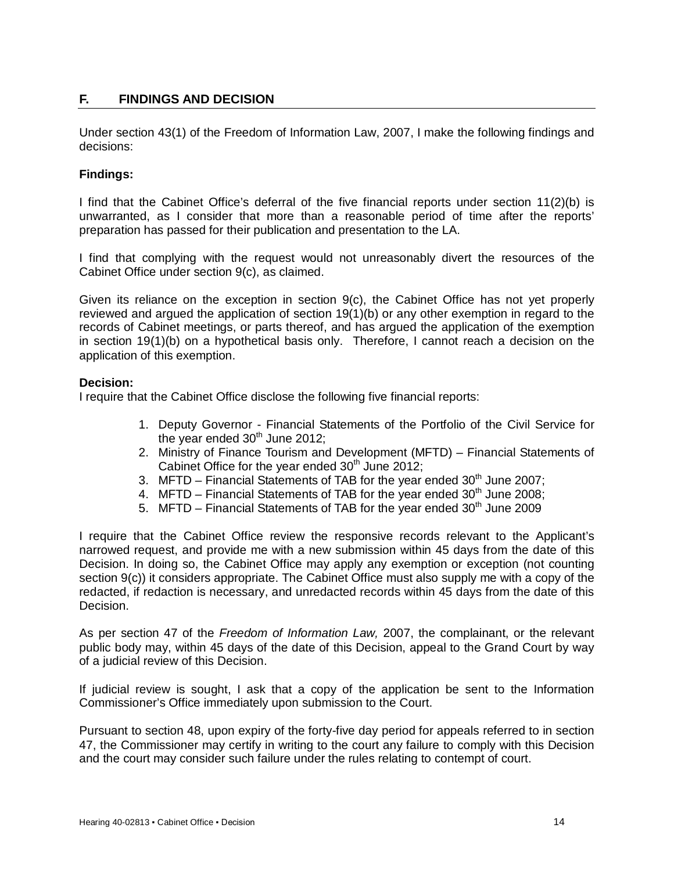# **F. FINDINGS AND DECISION**

Under section 43(1) of the Freedom of Information Law, 2007, I make the following findings and decisions:

## **Findings:**

I find that the Cabinet Office's deferral of the five financial reports under section 11(2)(b) is unwarranted, as I consider that more than a reasonable period of time after the reports' preparation has passed for their publication and presentation to the LA.

I find that complying with the request would not unreasonably divert the resources of the Cabinet Office under section 9(c), as claimed.

Given its reliance on the exception in section 9(c), the Cabinet Office has not yet properly reviewed and argued the application of section 19(1)(b) or any other exemption in regard to the records of Cabinet meetings, or parts thereof, and has argued the application of the exemption in section 19(1)(b) on a hypothetical basis only. Therefore, I cannot reach a decision on the application of this exemption.

### **Decision:**

I require that the Cabinet Office disclose the following five financial reports:

- 1. Deputy Governor Financial Statements of the Portfolio of the Civil Service for the year ended  $30<sup>th</sup>$  June 2012;
- 2. Ministry of Finance Tourism and Development (MFTD) Financial Statements of Cabinet Office for the year ended  $30<sup>th</sup>$  June 2012;
- 3. MFTD Financial Statements of TAB for the year ended  $30<sup>th</sup>$  June 2007;
- 4. MFTD Financial Statements of TAB for the year ended  $30<sup>th</sup>$  June 2008;
- 5. MFTD Financial Statements of TAB for the year ended  $30<sup>th</sup>$  June 2009

I require that the Cabinet Office review the responsive records relevant to the Applicant's narrowed request, and provide me with a new submission within 45 days from the date of this Decision. In doing so, the Cabinet Office may apply any exemption or exception (not counting section 9(c)) it considers appropriate. The Cabinet Office must also supply me with a copy of the redacted, if redaction is necessary, and unredacted records within 45 days from the date of this Decision.

As per section 47 of the *Freedom of Information Law,* 2007, the complainant, or the relevant public body may, within 45 days of the date of this Decision, appeal to the Grand Court by way of a judicial review of this Decision.

If judicial review is sought, I ask that a copy of the application be sent to the Information Commissioner's Office immediately upon submission to the Court.

Pursuant to section 48, upon expiry of the forty-five day period for appeals referred to in section 47, the Commissioner may certify in writing to the court any failure to comply with this Decision and the court may consider such failure under the rules relating to contempt of court.